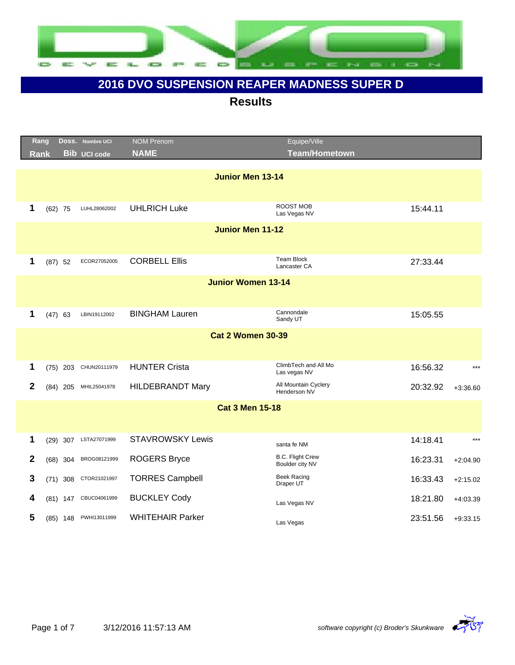

|              | Rang<br><b>Rank</b> |            | Doss. Nombre UCI<br><b>Bib UCI code</b> | <b>NOM Prenom</b><br><b>NAME</b> | Equipe/Ville<br><b>Team/Hometown</b>       |          |            |
|--------------|---------------------|------------|-----------------------------------------|----------------------------------|--------------------------------------------|----------|------------|
|              |                     |            |                                         | <b>Junior Men 13-14</b>          |                                            |          |            |
|              |                     |            |                                         |                                  |                                            |          |            |
| 1            |                     | $(62)$ 75  | LUHL28062002                            | <b>UHLRICH Luke</b>              | ROOST MOB<br>Las Vegas NV                  | 15:44.11 |            |
|              |                     |            |                                         | <b>Junior Men 11-12</b>          |                                            |          |            |
|              |                     |            |                                         |                                  |                                            |          |            |
| 1            |                     | $(87)$ 52  | ECOR27052005                            | <b>CORBELL Ellis</b>             | <b>Team Block</b><br>Lancaster CA          | 27:33.44 |            |
|              |                     |            |                                         | <b>Junior Women 13-14</b>        |                                            |          |            |
|              |                     |            |                                         |                                  |                                            |          |            |
| 1            |                     | $(47)$ 63  | LBIN19112002                            | <b>BINGHAM Lauren</b>            | Cannondale<br>Sandy UT                     | 15:05.55 |            |
|              |                     |            |                                         | <b>Cat 2 Women 30-39</b>         |                                            |          |            |
|              |                     |            |                                         |                                  |                                            |          |            |
| 1            |                     | $(75)$ 203 | CHUN20111979                            | <b>HUNTER Crista</b>             | ClimbTech and All Mo<br>Las vegas NV       | 16:56.32 | $***$      |
| $\mathbf{2}$ |                     | $(84)$ 205 | MHIL25041978                            | <b>HILDEBRANDT Mary</b>          | All Mountain Cyclery<br>Henderson NV       | 20:32.92 | $+3:36.60$ |
|              |                     |            |                                         | <b>Cat 3 Men 15-18</b>           |                                            |          |            |
|              |                     |            |                                         |                                  |                                            |          |            |
| 1            | (29)                |            | 307 LSTA27071999                        | <b>STAVROWSKY Lewis</b>          | santa fe NM                                | 14:18.41 | $***$      |
| 2            |                     | $(68)$ 304 | BROG08121999                            | <b>ROGERS Bryce</b>              | <b>B.C. Flight Crew</b><br>Boulder city NV | 16:23.31 | $+2:04.90$ |
| 3            | (71)                | 308        | CTOR21021997                            | <b>TORRES Campbell</b>           | <b>Beek Racing</b><br>Draper UT            | 16:33.43 | $+2:15.02$ |
| 4            |                     |            | (81) 147 CBUC04061999                   | <b>BUCKLEY Cody</b>              | Las Vegas NV                               | 18:21.80 | $+4:03.39$ |
| 5            |                     |            | (85) 148 PWHI13011999                   | <b>WHITEHAIR Parker</b>          | Las Vegas                                  | 23:51.56 | $+9:33.15$ |

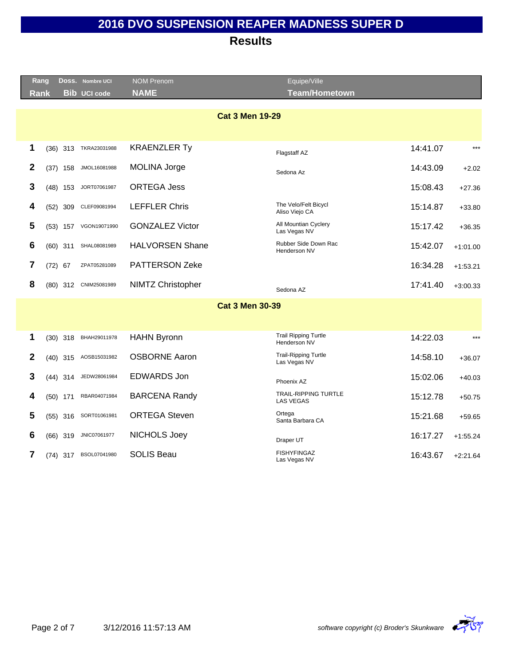|   | Rang                   |  | DOSS. Nombre UCI      | <b>NOM Prenom</b>        | Equipe/Ville                                    |          |            |  |  |
|---|------------------------|--|-----------------------|--------------------------|-------------------------------------------------|----------|------------|--|--|
|   | <b>Rank</b>            |  | <b>Bib UCI code</b>   | <b>NAME</b>              | <b>Team/Hometown</b>                            |          |            |  |  |
|   |                        |  |                       |                          |                                                 |          |            |  |  |
|   | <b>Cat 3 Men 19-29</b> |  |                       |                          |                                                 |          |            |  |  |
|   |                        |  |                       |                          |                                                 |          |            |  |  |
| 1 |                        |  | (36) 313 TKRA23031988 | <b>KRAENZLER Ty</b>      | Flagstaff AZ                                    | 14:41.07 | $***$      |  |  |
| 2 | $(37)$ 158             |  | JMOL16081988          | <b>MOLINA Jorge</b>      | Sedona Az                                       | 14:43.09 | $+2.02$    |  |  |
| 3 | $(48)$ 153             |  | JORT07061987          | <b>ORTEGA Jess</b>       |                                                 | 15:08.43 | $+27.36$   |  |  |
| 4 | $(52)$ 309             |  | CLEF09081994          | <b>LEFFLER Chris</b>     | The Velo/Felt Bicycl<br>Aliso Viejo CA          | 15:14.87 | $+33.80$   |  |  |
| 5 | $(53)$ 157             |  | VGON19071990          | <b>GONZALEZ Victor</b>   | All Mountian Cyclery<br>Las Vegas NV            | 15:17.42 | $+36.35$   |  |  |
| 6 | $(60)$ 311             |  | SHAL08081989          | <b>HALVORSEN Shane</b>   | Rubber Side Down Rac<br>Henderson NV            | 15:42.07 | $+1:01.00$ |  |  |
| 7 | $(72)$ 67              |  | ZPAT05281089          | <b>PATTERSON Zeke</b>    |                                                 | 16:34.28 | $+1:53.21$ |  |  |
| 8 |                        |  | (80) 312 CNIM25081989 | <b>NIMTZ Christopher</b> | Sedona AZ                                       | 17:41.40 | $+3:00.33$ |  |  |
|   |                        |  |                       | <b>Cat 3 Men 30-39</b>   |                                                 |          |            |  |  |
|   |                        |  |                       |                          |                                                 |          |            |  |  |
| 1 | $(30)$ 318             |  | BHAH29011978          | <b>HAHN Byronn</b>       | <b>Trail Ripping Turtle</b><br>Henderson NV     | 14:22.03 | $***$      |  |  |
| 2 | $(40)$ 315             |  | AOSB15031982          | <b>OSBORNE Aaron</b>     | <b>Trail-Ripping Turtle</b><br>Las Vegas NV     | 14:58.10 | $+36.07$   |  |  |
| 3 | $(44)$ 314             |  | JEDW28061984          | <b>EDWARDS Jon</b>       | Phoenix AZ                                      | 15:02.06 | $+40.03$   |  |  |
| 4 | $(50)$ 171             |  | RBAR04071984          | <b>BARCENA Randy</b>     | <b>TRAIL-RIPPING TURTLE</b><br><b>LAS VEGAS</b> | 15:12.78 | $+50.75$   |  |  |
| 5 | $(55)$ 316             |  | SORT01061981          | <b>ORTEGA Steven</b>     | Ortega<br>Santa Barbara CA                      | 15:21.68 | $+59.65$   |  |  |
| 6 | $(66)$ 319             |  | JNIC07061977          | NICHOLS Joey             | Draper UT                                       | 16:17.27 | $+1:55.24$ |  |  |
| 7 | $(74)$ 317             |  | BSOL07041980          | <b>SOLIS Beau</b>        | <b>FISHYFINGAZ</b><br>Las Vegas NV              | 16:43.67 | $+2:21.64$ |  |  |
|   |                        |  |                       |                          |                                                 |          |            |  |  |

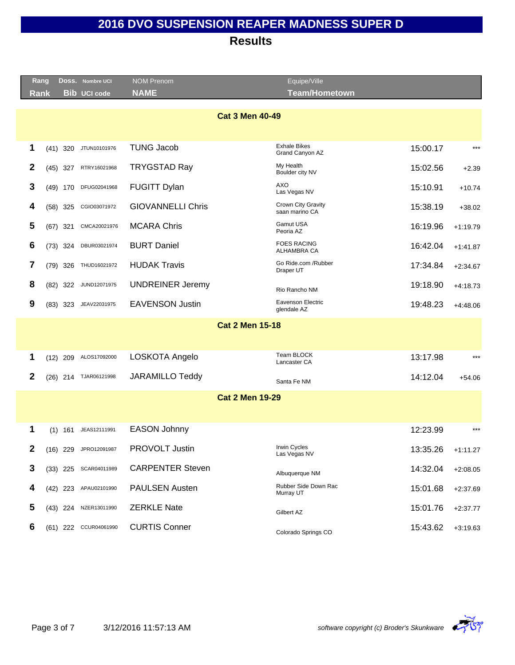| Rang         |            | DOSS. Nombre UCI      | <b>NOM Prenom</b>        | Equipe/Ville                            |          |            |
|--------------|------------|-----------------------|--------------------------|-----------------------------------------|----------|------------|
| Rank         |            | <b>Bib UCI code</b>   | <b>NAME</b>              | <b>Team/Hometown</b>                    |          |            |
|              |            |                       |                          | <b>Cat 3 Men 40-49</b>                  |          |            |
| 1            | $(41)$ 320 | JTUN10101976          | <b>TUNG Jacob</b>        | <b>Exhale Bikes</b><br>Grand Canyon AZ  | 15:00.17 | $***$      |
| 2            | $(45)$ 327 | RTRY16021968          | <b>TRYGSTAD Ray</b>      | My Health<br>Boulder city NV            | 15:02.56 | $+2.39$    |
| 3            | $(49)$ 170 | DFUG02041968          | FUGITT Dylan             | AXO<br>Las Vegas NV                     | 15:10.91 | $+10.74$   |
| 4            | $(58)$ 325 | CGIO03071972          | <b>GIOVANNELLI Chris</b> | Crown City Gravity<br>saan marino CA    | 15:38.19 | $+38.02$   |
| 5            | $(67)$ 321 | CMCA20021976          | <b>MCARA Chris</b>       | Gamut USA<br>Peoria AZ                  | 16:19.96 | $+1:19.79$ |
| 6            | $(73)$ 324 | DBUR03021974          | <b>BURT Daniel</b>       | <b>FOES RACING</b><br>ALHAMBRA CA       | 16:42.04 | $+1:41.87$ |
| 7            | $(79)$ 326 | THUD16021972          | <b>HUDAK Travis</b>      | Go Ride.com /Rubber<br>Draper UT        | 17:34.84 | $+2:34.67$ |
| 8            | $(82)$ 322 | JUND12071975          | <b>UNDREINER Jeremy</b>  | Rio Rancho NM                           | 19:18.90 | $+4:18.73$ |
| 9            | $(83)$ 323 | JEAV22031975          | <b>EAVENSON Justin</b>   | <b>Eavenson Electric</b><br>glendale AZ | 19:48.23 | $+4.48.06$ |
|              |            |                       |                          | <b>Cat 2 Men 15-18</b>                  |          |            |
| 1            | $(12)$ 209 | ALOS17092000          | LOSKOTA Angelo           | Team BLOCK<br>Lancaster CA              | 13:17.98 | $***$      |
| $\mathbf{2}$ |            | (26) 214 TJAR06121998 | <b>JARAMILLO Teddy</b>   | Santa Fe NM                             | 14:12.04 | $+54.06$   |
|              |            |                       |                          | <b>Cat 2 Men 19-29</b>                  |          |            |
|              |            |                       |                          |                                         |          |            |
| 1            | (1)        | 161 JEAS12111991      | <b>EASON Johnny</b>      |                                         | 12:23.99 | $***$      |
| 2            |            | (16) 229 JPRO12091987 | PROVOLT Justin           | <b>Irwin Cycles</b><br>Las Vegas NV     | 13:35.26 | $+1:11.27$ |
| 3            | $(33)$ 225 | SCAR04011989          | <b>CARPENTER Steven</b>  | Albuquerque NM                          | 14:32.04 | $+2:08.05$ |
| 4            |            | (42) 223 APAU02101990 | <b>PAULSEN Austen</b>    | Rubber Side Down Rac<br>Murray UT       | 15:01.68 | $+2:37.69$ |
| 5            | $(43)$ 224 | NZER13011990          | <b>ZERKLE Nate</b>       | Gilbert AZ                              | 15:01.76 | $+2:37.77$ |
| 6            | $(61)$ 222 | CCUR04061990          | <b>CURTIS Conner</b>     | Colorado Springs CO                     | 15:43.62 | $+3:19.63$ |
|              |            |                       |                          |                                         |          |            |

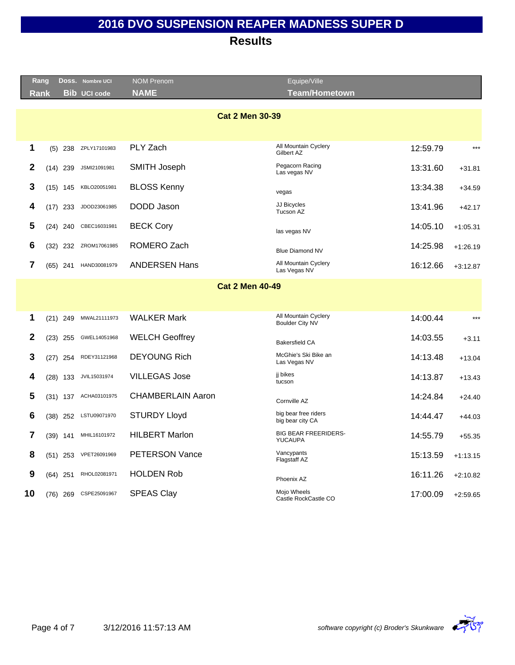|    | Rang           |            |            | Doss. Nombre UCI      | <b>NOM Prenom</b>        | Equipe/Ville                                   |          |            |
|----|----------------|------------|------------|-----------------------|--------------------------|------------------------------------------------|----------|------------|
|    | Rank           |            |            | <b>Bib UCI code</b>   | <b>NAME</b>              | <b>Team/Hometown</b>                           |          |            |
|    |                |            |            |                       |                          |                                                |          |            |
|    |                |            |            |                       | <b>Cat 2 Men 30-39</b>   |                                                |          |            |
|    |                |            |            |                       |                          |                                                |          |            |
|    | 1              |            | $(5)$ 238  | ZPLY17101983          | PLY Zach                 | All Mountain Cyclery<br>Gilbert AZ             | 12:59.79 | $***$      |
|    | 2              |            | $(14)$ 239 | JSMI21091981          | <b>SMITH Joseph</b>      | Pegacorn Racing<br>Las vegas NV                | 13:31.60 | $+31.81$   |
|    | 3              |            | $(15)$ 145 | KBLO20051981          | <b>BLOSS Kenny</b>       | vegas                                          | 13:34.38 | $+34.59$   |
|    | 4              |            | $(17)$ 233 | JDOD23061985          | DODD Jason               | JJ Bicycles<br>Tucson AZ                       | 13:41.96 | $+42.17$   |
|    | 5              |            | $(24)$ 240 | CBEC16031981          | <b>BECK Cory</b>         | las vegas NV                                   | 14:05.10 | $+1:05.31$ |
|    | 6              |            | $(32)$ 232 | ZROM17061985          | ROMERO Zach              | <b>Blue Diamond NV</b>                         | 14:25.98 | $+1:26.19$ |
|    | $\overline{7}$ | $(65)$ 241 |            | HAND30081979          | <b>ANDERSEN Hans</b>     | All Mountain Cyclery<br>Las Vegas NV           | 16:12.66 | $+3:12.87$ |
|    |                |            |            |                       | <b>Cat 2 Men 40-49</b>   |                                                |          |            |
|    |                |            |            |                       |                          |                                                |          |            |
|    | 1              |            | $(21)$ 249 | MWAL21111973          | <b>WALKER Mark</b>       | All Mountain Cyclery<br><b>Boulder City NV</b> | 14:00.44 | $***$      |
|    | $\mathbf{2}$   |            | $(23)$ 255 | GWEL14051968          | <b>WELCH Geoffrey</b>    | <b>Bakersfield CA</b>                          | 14:03.55 | $+3.11$    |
|    | 3              |            | $(27)$ 254 | RDEY31121968          | <b>DEYOUNG Rich</b>      | McGhie's Ski Bike an<br>Las Vegas NV           | 14:13.48 | $+13.04$   |
|    | 4              | (28)       | 133        | JVIL15031974          | <b>VILLEGAS Jose</b>     | ji bikes<br>tucson                             | 14:13.87 | $+13.43$   |
|    | 5              |            |            | (31) 137 ACHA03101975 | <b>CHAMBERLAIN Aaron</b> | Cornville AZ                                   | 14:24.84 | $+24.40$   |
|    | 6              |            |            | (38) 252 LSTU09071970 | <b>STURDY Lloyd</b>      | big bear free riders<br>big bear city CA       | 14:44.47 | $+44.03$   |
|    | 7              | $(39)$ 141 |            | MHIL16101972          | <b>HILBERT Marlon</b>    | <b>BIG BEAR FREERIDERS-</b><br><b>YUCAUPA</b>  | 14:55.79 | $+55.35$   |
|    | 8              |            | $(51)$ 253 | VPET26091969          | <b>PETERSON Vance</b>    | Vancypants<br>Flagstaff AZ                     | 15:13.59 | $+1:13.15$ |
|    | 9              |            | $(64)$ 251 | RHOL02081971          | <b>HOLDEN Rob</b>        | Phoenix AZ                                     | 16:11.26 | $+2:10.82$ |
| 10 |                |            | $(76)$ 269 | CSPE25091967          | <b>SPEAS Clay</b>        | Mojo Wheels<br>Castle RockCastle CO            | 17:00.09 | $+2:59.65$ |
|    |                |            |            |                       |                          |                                                |          |            |

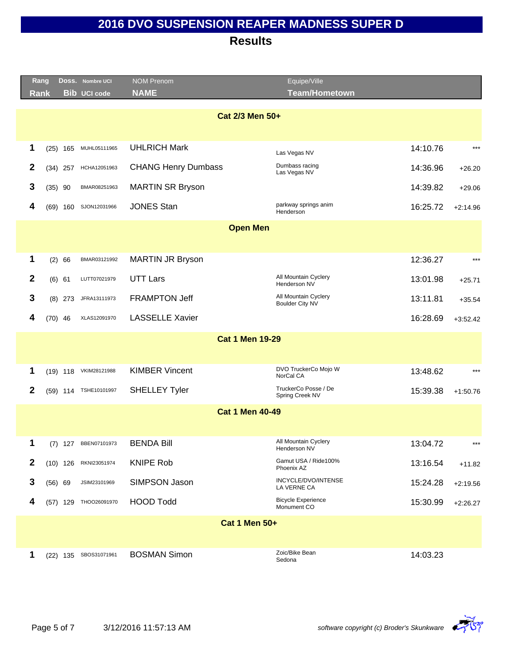|              | Rang            |            | Doss. Nombre UCI      | <b>NOM Prenom</b>          | Equipe/Ville                             |          |            |  |  |
|--------------|-----------------|------------|-----------------------|----------------------------|------------------------------------------|----------|------------|--|--|
|              | <b>Rank</b>     |            | <b>Bib</b> UCI code   | <b>NAME</b>                | <b>Team/Hometown</b>                     |          |            |  |  |
|              | Cat 2/3 Men 50+ |            |                       |                            |                                          |          |            |  |  |
|              |                 |            |                       |                            |                                          |          |            |  |  |
| 1            | (25)            | 165        | MUHL05111965          | <b>UHLRICH Mark</b>        | Las Vegas NV                             | 14:10.76 | $***$      |  |  |
| $\mathbf{2}$ |                 | $(34)$ 257 | HCHA12051963          | <b>CHANG Henry Dumbass</b> | Dumbass racing<br>Las Vegas NV           | 14:36.96 | $+26.20$   |  |  |
| 3            | $(35)$ 90       |            | BMAR08251963          | <b>MARTIN SR Bryson</b>    |                                          | 14:39.82 | $+29.06$   |  |  |
| 4            |                 | $(69)$ 160 | SJON12031966          | <b>JONES Stan</b>          | parkway springs anim<br>Henderson        | 16:25.72 | $+2:14.96$ |  |  |
|              |                 |            |                       | <b>Open Men</b>            |                                          |          |            |  |  |
|              |                 |            |                       |                            |                                          |          |            |  |  |
| 1            | (2)             | 66         | BMAR03121992          | <b>MARTIN JR Bryson</b>    |                                          | 12:36.27 | $***$      |  |  |
| $\mathbf{2}$ | (6) 61          |            | LUTT07021979          | <b>UTT Lars</b>            | All Mountain Cyclery<br>Henderson NV     | 13:01.98 | $+25.71$   |  |  |
| 3            | (8)             | 273        | JFRA13111973          | <b>FRAMPTON Jeff</b>       | All Mountain Cyclery<br>Boulder City NV  | 13:11.81 | $+35.54$   |  |  |
| 4            | $(70)$ 46       |            | XLAS12091970          | <b>LASSELLE Xavier</b>     |                                          | 16:28.69 | $+3:52.42$ |  |  |
|              |                 |            |                       | <b>Cat 1 Men 19-29</b>     |                                          |          |            |  |  |
|              |                 |            |                       |                            |                                          |          |            |  |  |
| 1            |                 | $(19)$ 118 | VKIM28121988          | <b>KIMBER Vincent</b>      | DVO TruckerCo Mojo W<br>NorCal CA        | 13:48.62 | $***$      |  |  |
| $\mathbf{2}$ |                 |            | (59) 114 TSHE10101997 | <b>SHELLEY Tyler</b>       | TruckerCo Posse / De<br>Spring Creek NV  | 15:39.38 | $+1:50.76$ |  |  |
|              |                 |            |                       | <b>Cat 1 Men 40-49</b>     |                                          |          |            |  |  |
|              |                 |            |                       |                            |                                          |          |            |  |  |
| 1            |                 | $(7)$ 127  | BBEN07101973          | <b>BENDA Bill</b>          | All Mountain Cyclery<br>Henderson NV     | 13:04.72 | $***$      |  |  |
| $\mathbf{2}$ |                 | $(10)$ 126 | RKNI23051974          | <b>KNIPE Rob</b>           | Gamut USA / Ride100%<br>Phoenix AZ       | 13:16.54 | $+11.82$   |  |  |
| 3            | (56) 69         |            | JSIM23101969          | SIMPSON Jason              | INCYCLE/DVO/INTENSE<br>LA VERNE CA       | 15:24.28 | $+2:19.56$ |  |  |
| 4            |                 | $(57)$ 129 | THOO26091970          | <b>HOOD Todd</b>           | <b>Bicycle Experience</b><br>Monument CO | 15:30.99 | $+2:26.27$ |  |  |
|              |                 |            |                       | <b>Cat 1 Men 50+</b>       |                                          |          |            |  |  |
|              |                 |            |                       |                            |                                          |          |            |  |  |
| 1            |                 | $(22)$ 135 | SBOS31071961          | <b>BOSMAN Simon</b>        | Zoic/Bike Bean<br>Sedona                 | 14:03.23 |            |  |  |

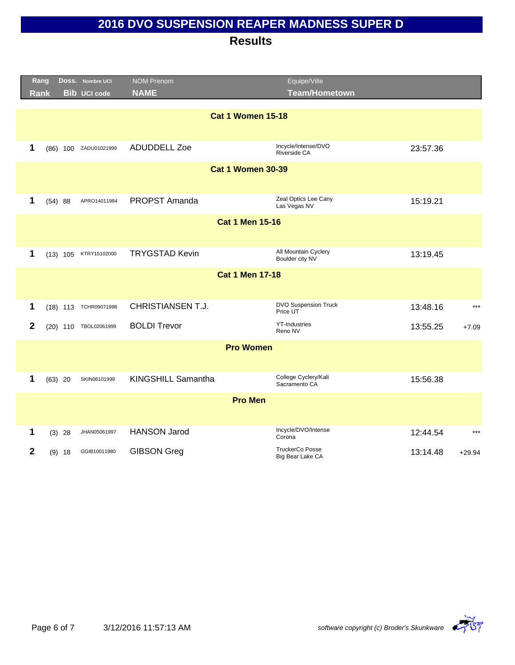|                  | Rang        |           | Doss. Nombre UCI      | <b>NOM Prenom</b>        | Equipe/Ville                               |          |          |
|------------------|-------------|-----------|-----------------------|--------------------------|--------------------------------------------|----------|----------|
|                  | <b>Rank</b> |           | <b>Bib UCI code</b>   | <b>NAME</b>              | <b>Team/Hometown</b>                       |          |          |
|                  |             |           |                       | <b>Cat 1 Women 15-18</b> |                                            |          |          |
| 1                |             |           | (86) 100 ZADU01021999 | <b>ADUDDELL Zoe</b>      | Incycle/Intense/DVO<br>Riverside CA        | 23:57.36 |          |
|                  |             |           |                       | <b>Cat 1 Women 30-39</b> |                                            |          |          |
|                  |             |           |                       |                          |                                            |          |          |
| 1                |             | (54) 88   | APRO14011984          | PROPST Amanda            | Zeal Optics Lee Cany<br>Las Vegas NV       | 15:19.21 |          |
|                  |             |           |                       | <b>Cat 1 Men 15-16</b>   |                                            |          |          |
|                  |             |           |                       |                          |                                            |          |          |
| 1                |             |           | (13) 105 KTRY15102000 | <b>TRYGSTAD Kevin</b>    | All Mountain Cyclery<br>Boulder city NV    | 13:19.45 |          |
|                  |             |           |                       | <b>Cat 1 Men 17-18</b>   |                                            |          |          |
|                  |             |           |                       |                          |                                            |          |          |
| 1                |             |           | (18) 113 TCHR09071998 | <b>CHRISTIANSEN T.J.</b> | DVO Suspension Truck<br>Price UT           | 13:48.16 | $***$    |
| $\mathbf{2}$     |             |           | (20) 110 TBOL02061999 | <b>BOLDI Trevor</b>      | <b>YT-Industries</b><br>Reno NV            | 13:55.25 | $+7.09$  |
|                  |             |           |                       | <b>Pro Women</b>         |                                            |          |          |
|                  |             |           |                       |                          |                                            |          |          |
| 1                |             | $(63)$ 20 | SKIN06101999          | KINGSHILL Samantha       | College Cyclery/Kali<br>Sacramento CA      | 15:56.38 |          |
|                  |             |           |                       | <b>Pro Men</b>           |                                            |          |          |
|                  |             |           |                       |                          | Incycle/DVO/Intense                        |          | $***$    |
| 1                |             | $(3)$ 28  | JHAN05061997          | <b>HANSON Jarod</b>      | Corona                                     | 12:44.54 |          |
| $\boldsymbol{2}$ |             | $(9)$ 18  | GGIB10011980          | <b>GIBSON Greg</b>       | <b>TruckerCo Posse</b><br>Big Bear Lake CA | 13:14.48 | $+29.94$ |